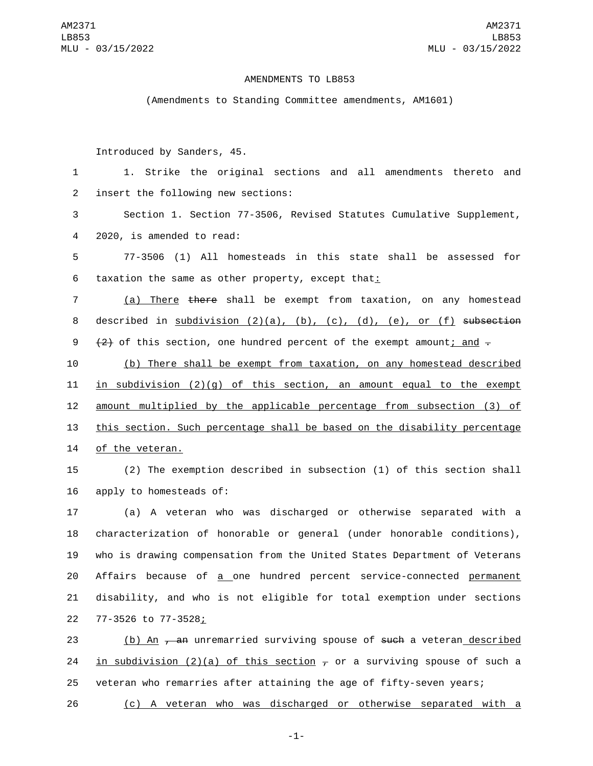## AMENDMENTS TO LB853

(Amendments to Standing Committee amendments, AM1601)

Introduced by Sanders, 45.

1 1. Strike the original sections and all amendments thereto and 2 insert the following new sections:

3 Section 1. Section 77-3506, Revised Statutes Cumulative Supplement, 4 2020, is amended to read:

5 77-3506 (1) All homesteads in this state shall be assessed for 6 taxation the same as other property, except that:

7 (a) There there shall be exempt from taxation, on any homestead 8 described in subdivision  $(2)(a)$ ,  $(b)$ ,  $(c)$ ,  $(d)$ ,  $(e)$ , or  $(f)$  subsection 9  $(2)$  of this section, one hundred percent of the exempt amount; and  $\overline{z}$ 

10 (b) There shall be exempt from taxation, on any homestead described 11 in subdivision  $(2)(q)$  of this section, an amount equal to the exempt 12 amount multiplied by the applicable percentage from subsection (3) of 13 this section. Such percentage shall be based on the disability percentage 14 of the veteran.

15 (2) The exemption described in subsection (1) of this section shall 16 apply to homesteads of:

 (a) A veteran who was discharged or otherwise separated with a characterization of honorable or general (under honorable conditions), who is drawing compensation from the United States Department of Veterans Affairs because of a one hundred percent service-connected permanent disability, and who is not eligible for total exemption under sections 77-3526 to 77-3528;22

23 (b) An <del>, an</del> unremarried surviving spouse of <del>such</del> a veteran described 24 in subdivision (2)(a) of this section  $\tau$  or a surviving spouse of such a 25 veteran who remarries after attaining the age of fifty-seven years;

26 (c) A veteran who was discharged or otherwise separated with a

-1-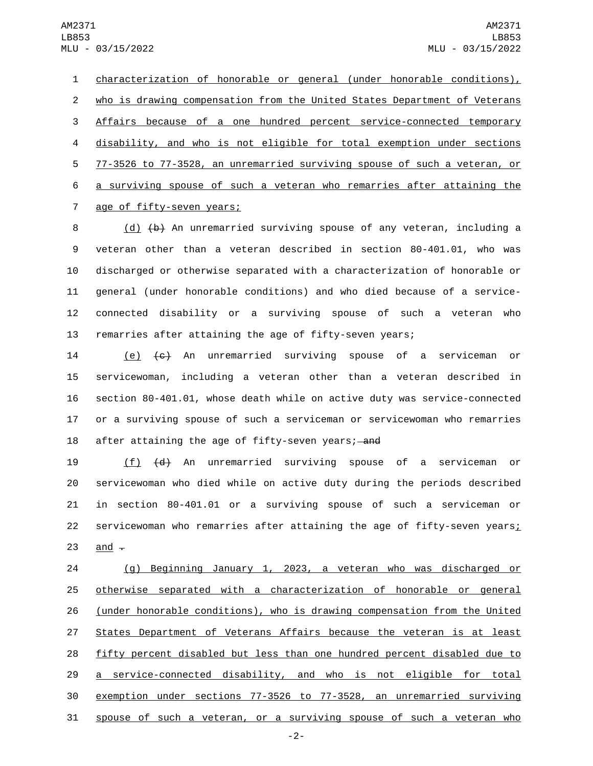characterization of honorable or general (under honorable conditions), who is drawing compensation from the United States Department of Veterans Affairs because of a one hundred percent service-connected temporary disability, and who is not eligible for total exemption under sections 77-3526 to 77-3528, an unremarried surviving spouse of such a veteran, or a surviving spouse of such a veteran who remarries after attaining the 7 age of fifty-seven years;

8 (d) (b) An unremarried surviving spouse of any veteran, including a veteran other than a veteran described in section 80-401.01, who was discharged or otherwise separated with a characterization of honorable or general (under honorable conditions) and who died because of a service- connected disability or a surviving spouse of such a veteran who remarries after attaining the age of fifty-seven years;

 (e) (c) An unremarried surviving spouse of a serviceman or servicewoman, including a veteran other than a veteran described in section 80-401.01, whose death while on active duty was service-connected or a surviving spouse of such a serviceman or servicewoman who remarries 18 after attaining the age of fifty-seven years; and

 (f) (d) An unremarried surviving spouse of a serviceman or servicewoman who died while on active duty during the periods described in section 80-401.01 or a surviving spouse of such a serviceman or 22 servicewoman who remarries after attaining the age of fifty-seven years;  $and -$ 

 (g) Beginning January 1, 2023, a veteran who was discharged or otherwise separated with a characterization of honorable or general (under honorable conditions), who is drawing compensation from the United States Department of Veterans Affairs because the veteran is at least fifty percent disabled but less than one hundred percent disabled due to a service-connected disability, and who is not eligible for total exemption under sections 77-3526 to 77-3528, an unremarried surviving 31 spouse of such a veteran, or a surviving spouse of such a veteran who

-2-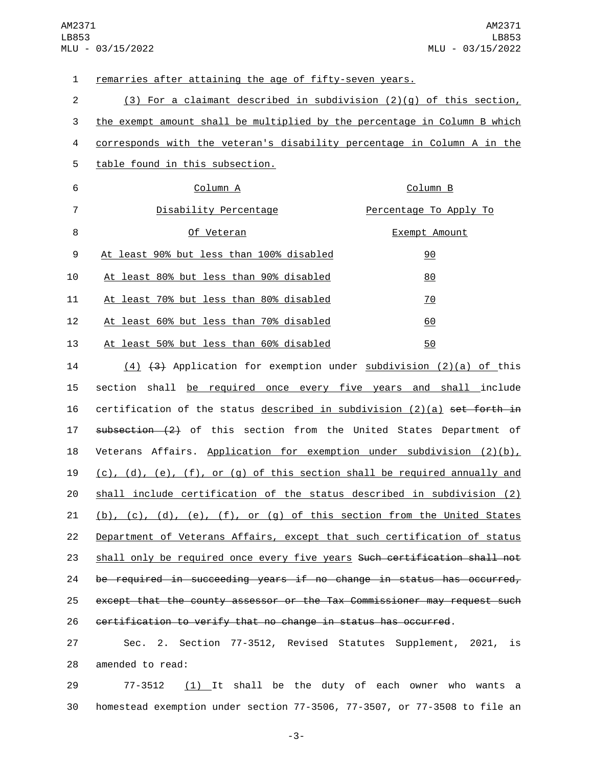| $\mathbf 1$    | remarries after attaining the age of fifty-seven years.                                 |                        |
|----------------|-----------------------------------------------------------------------------------------|------------------------|
| $\overline{2}$ | $(3)$ For a claimant described in subdivision $(2)(q)$ of this section,                 |                        |
| 3              | the exempt amount shall be multiplied by the percentage in Column B which               |                        |
| 4              | corresponds with the veteran's disability percentage in Column A in the                 |                        |
| 5              | table found in this subsection.                                                         |                        |
| 6              | Column A                                                                                | Column B               |
| 7              | Disability Percentage                                                                   | Percentage To Apply To |
| 8              | Of Veteran                                                                              | Exempt Amount          |
| 9              | At least 90% but less than 100% disabled                                                | 90                     |
| 10             | At least 80% but less than 90% disabled                                                 | 80                     |
| 11             | At least 70% but less than 80% disabled                                                 | <u>70</u>              |
| 12             | At least 60% but less than 70% disabled                                                 | 60                     |
| 13             | At least 50% but less than 60% disabled                                                 | 50                     |
| 14             | (4) (3) Application for exemption under subdivision (2)(a) of this                      |                        |
| 15             | section shall be required once every five years and shall include                       |                        |
| 16             | certification of the status described in subdivision $(2)(a)$ set forth in              |                        |
| 17             | $subsection (2)$ of this section from the United States Department of                   |                        |
| 18             | Veterans Affairs. Application for exemption under subdivision $(2)(b)$ ,                |                        |
| 19             | $(c)$ , $(d)$ , $(e)$ , $(f)$ , or $(g)$ of this section shall be required annually and |                        |
| 20             | shall include certification of the status described in subdivision (2)                  |                        |
| 21             | (b), (c), (d), (e), (f), or (g) of this section from the United States                  |                        |
| 22             | Department of Veterans Affairs, except that such certification of status                |                        |
| 23             | shall only be required once every five years Such certification shall not               |                        |
| 24             | be required in succeeding years if no change in status has occurred,                    |                        |

25 except that the county assessor or the Tax Commissioner may request such 26 certification to verify that no change in status has occurred.

27 Sec. 2. Section 77-3512, Revised Statutes Supplement, 2021, is 28 amended to read:

29  $77-3512$   $(1)$  It shall be the duty of each owner who wants a 30 homestead exemption under section 77-3506, 77-3507, or 77-3508 to file an

-3-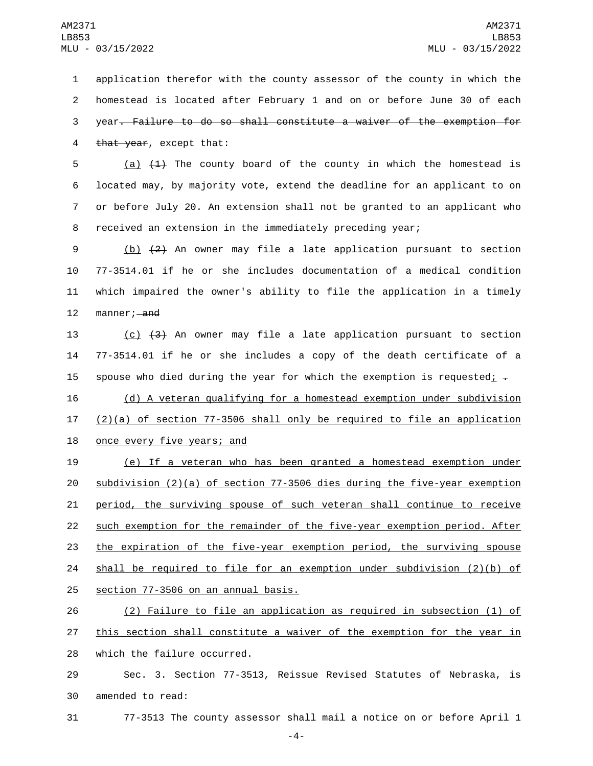application therefor with the county assessor of the county in which the homestead is located after February 1 and on or before June 30 of each year. Failure to do so shall constitute a waiver of the exemption for 4 that year, except that:

 $(a)$   $(1)$  The county board of the county in which the homestead is located may, by majority vote, extend the deadline for an applicant to on or before July 20. An extension shall not be granted to an applicant who received an extension in the immediately preceding year;

 (b) (2) An owner may file a late application pursuant to section 77-3514.01 if he or she includes documentation of a medical condition which impaired the owner's ability to file the application in a timely 12 manner; and

13 (c) (3) An owner may file a late application pursuant to section 14 77-3514.01 if he or she includes a copy of the death certificate of a 15 spouse who died during the year for which the exemption is requested<u>;</u>  $-$ 

16 (d) A veteran qualifying for a homestead exemption under subdivision 17  $(2)(a)$  of section 77-3506 shall only be required to file an application 18 once every five years; and

 (e) If a veteran who has been granted a homestead exemption under subdivision (2)(a) of section 77-3506 dies during the five-year exemption period, the surviving spouse of such veteran shall continue to receive such exemption for the remainder of the five-year exemption period. After the expiration of the five-year exemption period, the surviving spouse 24 shall be required to file for an exemption under subdivision  $(2)(b)$  of 25 section 77-3506 on an annual basis.

26 (2) Failure to file an application as required in subsection (1) of 27 this section shall constitute a waiver of the exemption for the year in 28 which the failure occurred.

29 Sec. 3. Section 77-3513, Reissue Revised Statutes of Nebraska, is 30 amended to read:

31 77-3513 The county assessor shall mail a notice on or before April 1

-4-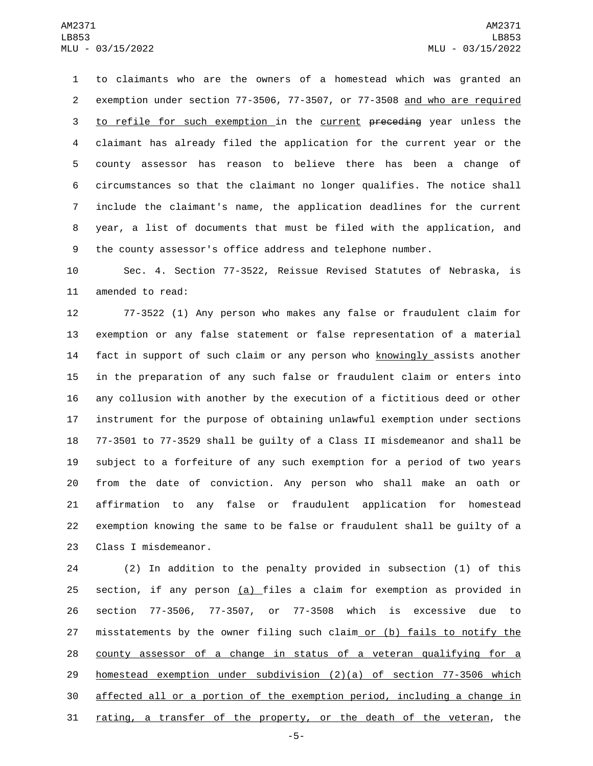to claimants who are the owners of a homestead which was granted an exemption under section 77-3506, 77-3507, or 77-3508 and who are required 3 to refile for such exemption in the current preceding year unless the claimant has already filed the application for the current year or the county assessor has reason to believe there has been a change of circumstances so that the claimant no longer qualifies. The notice shall include the claimant's name, the application deadlines for the current year, a list of documents that must be filed with the application, and the county assessor's office address and telephone number.

 Sec. 4. Section 77-3522, Reissue Revised Statutes of Nebraska, is 11 amended to read:

 77-3522 (1) Any person who makes any false or fraudulent claim for exemption or any false statement or false representation of a material fact in support of such claim or any person who knowingly assists another in the preparation of any such false or fraudulent claim or enters into any collusion with another by the execution of a fictitious deed or other instrument for the purpose of obtaining unlawful exemption under sections 77-3501 to 77-3529 shall be guilty of a Class II misdemeanor and shall be subject to a forfeiture of any such exemption for a period of two years from the date of conviction. Any person who shall make an oath or affirmation to any false or fraudulent application for homestead exemption knowing the same to be false or fraudulent shall be guilty of a 23 Class I misdemeanor.

 (2) In addition to the penalty provided in subsection (1) of this section, if any person (a) files a claim for exemption as provided in section 77-3506, 77-3507, or 77-3508 which is excessive due to 27 misstatements by the owner filing such claim or (b) fails to notify the county assessor of a change in status of a veteran qualifying for a homestead exemption under subdivision (2)(a) of section 77-3506 which affected all or a portion of the exemption period, including a change in rating, a transfer of the property, or the death of the veteran, the

-5-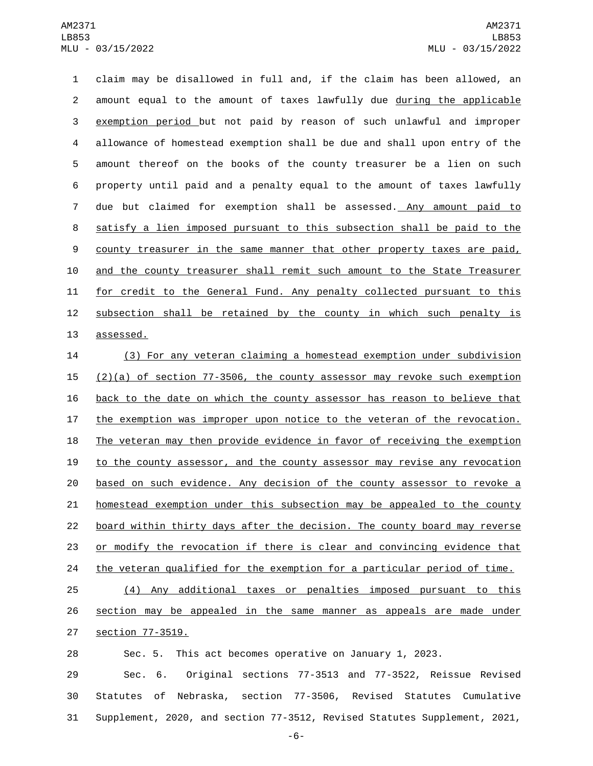claim may be disallowed in full and, if the claim has been allowed, an amount equal to the amount of taxes lawfully due during the applicable exemption period but not paid by reason of such unlawful and improper allowance of homestead exemption shall be due and shall upon entry of the amount thereof on the books of the county treasurer be a lien on such property until paid and a penalty equal to the amount of taxes lawfully due but claimed for exemption shall be assessed. Any amount paid to satisfy a lien imposed pursuant to this subsection shall be paid to the 9 county treasurer in the same manner that other property taxes are paid, and the county treasurer shall remit such amount to the State Treasurer for credit to the General Fund. Any penalty collected pursuant to this 12 subsection shall be retained by the county in which such penalty is 13 assessed.

 (3) For any veteran claiming a homestead exemption under subdivision (2)(a) of section 77-3506, the county assessor may revoke such exemption back to the date on which the county assessor has reason to believe that the exemption was improper upon notice to the veteran of the revocation. 18 The veteran may then provide evidence in favor of receiving the exemption to the county assessor, and the county assessor may revise any revocation based on such evidence. Any decision of the county assessor to revoke a homestead exemption under this subsection may be appealed to the county board within thirty days after the decision. The county board may reverse or modify the revocation if there is clear and convincing evidence that the veteran qualified for the exemption for a particular period of time. (4) Any additional taxes or penalties imposed pursuant to this

 section may be appealed in the same manner as appeals are made under **section 77-3519.** 

Sec. 5. This act becomes operative on January 1, 2023.

 Sec. 6. Original sections 77-3513 and 77-3522, Reissue Revised Statutes of Nebraska, section 77-3506, Revised Statutes Cumulative Supplement, 2020, and section 77-3512, Revised Statutes Supplement, 2021,

-6-